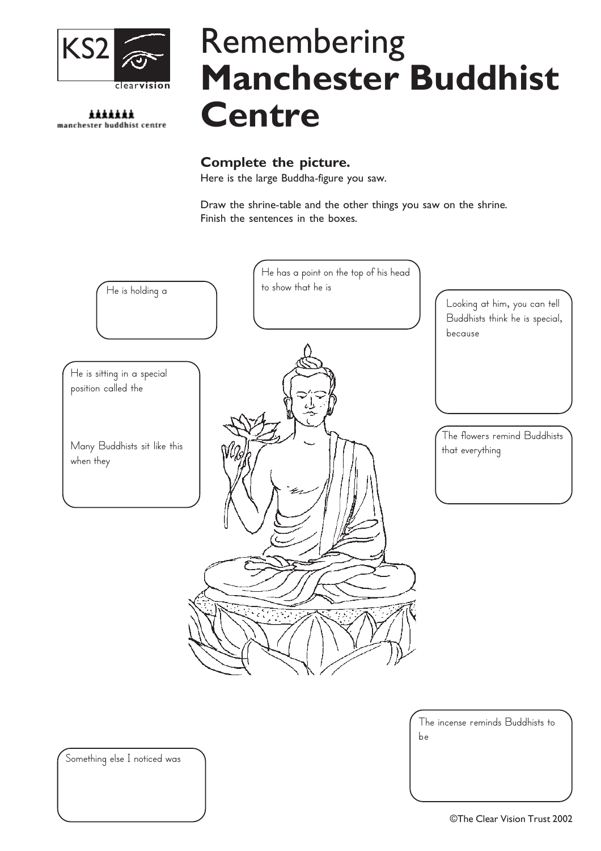

\*\*\*\*\*\*\* manchester buddhist centre

# Remembering Manchester Buddhist **Centre**

#### Complete the picture.

Here is the large Buddha-figure you saw.

Draw the shrine-table and the other things you saw on the shrine. Finish the sentences in the boxes.



The incense reminds Buddhists to be

Something else I noticed was